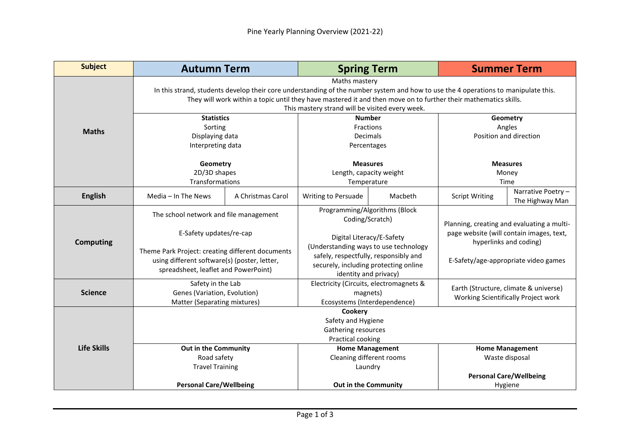| <b>Subject</b>     | <b>Autumn Term</b>                                                                                                                                                                                                                                                                                                        |                   |                                                                                                                                                                                                                                   | <b>Spring Term</b> |                                                                                                                                                          | <b>Summer Term</b>                    |  |
|--------------------|---------------------------------------------------------------------------------------------------------------------------------------------------------------------------------------------------------------------------------------------------------------------------------------------------------------------------|-------------------|-----------------------------------------------------------------------------------------------------------------------------------------------------------------------------------------------------------------------------------|--------------------|----------------------------------------------------------------------------------------------------------------------------------------------------------|---------------------------------------|--|
|                    | Maths mastery<br>In this strand, students develop their core understanding of the number system and how to use the 4 operations to manipulate this.<br>They will work within a topic until they have mastered it and then move on to further their mathematics skills.<br>This mastery strand will be visited every week. |                   |                                                                                                                                                                                                                                   |                    |                                                                                                                                                          |                                       |  |
| <b>Maths</b>       | <b>Statistics</b><br>Sorting<br>Displaying data<br>Interpreting data                                                                                                                                                                                                                                                      |                   | <b>Number</b><br>Fractions<br><b>Decimals</b><br>Percentages                                                                                                                                                                      |                    | Geometry<br>Angles<br>Position and direction                                                                                                             |                                       |  |
|                    | Geometry<br>2D/3D shapes<br>Transformations                                                                                                                                                                                                                                                                               |                   | <b>Measures</b><br>Length, capacity weight<br>Temperature                                                                                                                                                                         |                    | <b>Measures</b><br>Money<br>Time                                                                                                                         |                                       |  |
| <b>English</b>     | Media - In The News                                                                                                                                                                                                                                                                                                       | A Christmas Carol | <b>Writing to Persuade</b>                                                                                                                                                                                                        | Macbeth            | <b>Script Writing</b>                                                                                                                                    | Narrative Poetry -<br>The Highway Man |  |
| <b>Computing</b>   | The school network and file management<br>E-Safety updates/re-cap<br>Theme Park Project: creating different documents<br>using different software(s) (poster, letter,<br>spreadsheet, leaflet and PowerPoint)                                                                                                             |                   | Programming/Algorithms (Block<br>Coding/Scratch)<br>Digital Literacy/E-Safety<br>(Understanding ways to use technology<br>safely, respectfully, responsibly and<br>securely, including protecting online<br>identity and privacy) |                    | Planning, creating and evaluating a multi-<br>page website (will contain images, text,<br>hyperlinks and coding)<br>E-Safety/age-appropriate video games |                                       |  |
| <b>Science</b>     | Safety in the Lab<br>Genes (Variation, Evolution)<br>Matter (Separating mixtures)                                                                                                                                                                                                                                         |                   | Electricity (Circuits, electromagnets &<br>magnets)<br>Ecosystems (Interdependence)                                                                                                                                               |                    | Earth (Structure, climate & universe)<br>Working Scientifically Project work                                                                             |                                       |  |
| <b>Life Skills</b> | Cookery<br>Safety and Hygiene<br>Gathering resources<br>Practical cooking                                                                                                                                                                                                                                                 |                   |                                                                                                                                                                                                                                   |                    |                                                                                                                                                          |                                       |  |
|                    | Out in the Community<br>Road safety<br><b>Travel Training</b>                                                                                                                                                                                                                                                             |                   | <b>Home Management</b><br>Cleaning different rooms<br>Laundry                                                                                                                                                                     |                    | <b>Home Management</b><br>Waste disposal<br><b>Personal Care/Wellbeing</b>                                                                               |                                       |  |
|                    | <b>Personal Care/Wellbeing</b>                                                                                                                                                                                                                                                                                            |                   | Out in the Community                                                                                                                                                                                                              |                    | Hygiene                                                                                                                                                  |                                       |  |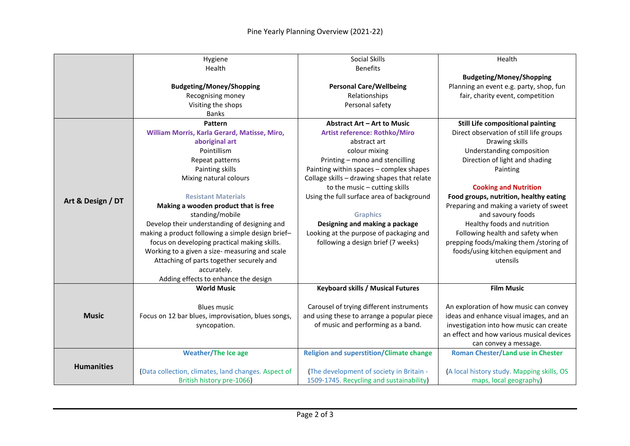|                   | Hygiene                                             | Social Skills                                   | Health                                     |  |
|-------------------|-----------------------------------------------------|-------------------------------------------------|--------------------------------------------|--|
|                   | Health                                              | <b>Benefits</b>                                 |                                            |  |
|                   |                                                     |                                                 | <b>Budgeting/Money/Shopping</b>            |  |
|                   | <b>Budgeting/Money/Shopping</b>                     | <b>Personal Care/Wellbeing</b>                  | Planning an event e.g. party, shop, fun    |  |
|                   | Recognising money                                   | Relationships                                   | fair, charity event, competition           |  |
|                   | Visiting the shops                                  | Personal safety                                 |                                            |  |
|                   | <b>Banks</b>                                        |                                                 |                                            |  |
|                   | Pattern                                             | Abstract Art - Art to Music                     | <b>Still Life compositional painting</b>   |  |
|                   | William Morris, Karla Gerard, Matisse, Miro,        | <b>Artist reference: Rothko/Miro</b>            | Direct observation of still life groups    |  |
|                   | aboriginal art                                      | abstract art                                    | Drawing skills                             |  |
|                   | Pointillism                                         | colour mixing                                   | Understanding composition                  |  |
|                   | Repeat patterns                                     | Printing - mono and stencilling                 | Direction of light and shading             |  |
| Art & Design / DT | Painting skills                                     | Painting within spaces - complex shapes         | Painting                                   |  |
|                   | Mixing natural colours                              | Collage skills - drawing shapes that relate     |                                            |  |
|                   |                                                     | to the music - cutting skills                   | <b>Cooking and Nutrition</b>               |  |
|                   | <b>Resistant Materials</b>                          | Using the full surface area of background       | Food groups, nutrition, healthy eating     |  |
|                   | Making a wooden product that is free                |                                                 | Preparing and making a variety of sweet    |  |
|                   | standing/mobile                                     | <b>Graphics</b>                                 | and savoury foods                          |  |
|                   | Develop their understanding of designing and        | Designing and making a package                  | Healthy foods and nutrition                |  |
|                   | making a product following a simple design brief-   | Looking at the purpose of packaging and         | Following health and safety when           |  |
|                   | focus on developing practical making skills.        | following a design brief (7 weeks)              | prepping foods/making them /storing of     |  |
|                   | Working to a given a size- measuring and scale      |                                                 | foods/using kitchen equipment and          |  |
|                   | Attaching of parts together securely and            |                                                 | utensils                                   |  |
|                   | accurately.                                         |                                                 |                                            |  |
|                   | Adding effects to enhance the design                |                                                 |                                            |  |
|                   | <b>World Music</b>                                  | <b>Keyboard skills / Musical Futures</b>        | <b>Film Music</b>                          |  |
|                   |                                                     |                                                 |                                            |  |
|                   | <b>Blues music</b>                                  | Carousel of trying different instruments        | An exploration of how music can convey     |  |
| <b>Music</b>      | Focus on 12 bar blues, improvisation, blues songs,  | and using these to arrange a popular piece      | ideas and enhance visual images, and an    |  |
|                   | syncopation.                                        | of music and performing as a band.              | investigation into how music can create    |  |
|                   |                                                     |                                                 | an effect and how various musical devices  |  |
|                   |                                                     |                                                 | can convey a message.                      |  |
|                   | <b>Weather/The Ice age</b>                          | <b>Religion and superstition/Climate change</b> | <b>Roman Chester/Land use in Chester</b>   |  |
| <b>Humanities</b> |                                                     |                                                 |                                            |  |
|                   | (Data collection, climates, land changes. Aspect of | (The development of society in Britain -        | (A local history study. Mapping skills, OS |  |
|                   | British history pre-1066)                           | 1509-1745. Recycling and sustainability)        | maps, local geography)                     |  |